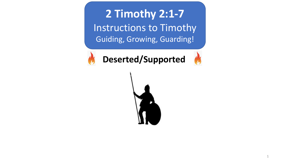**2 Timothy 2:1-7** Instructions to Timothy Guiding, Growing, Guarding!



**Deserted/Supported**

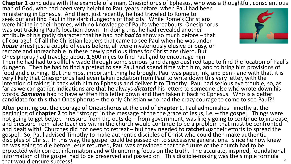**Chapter 1** concludes with the example of a man, Onesiphorus of Ephesus, who was a thoughtful, conscientious man of God, who had been very helpful to Paul years before, when Paul had been

ministering in Ephesus. And then, just recently, he had traveled to Rome to seek out and find Paul in the dark dungeons of that city. While Rome's Christians were hiding in their homes, with no knowledge of Paul's whereabouts, Onesiphorus was out tracking Paul's location down! In doing this, he had revealed another attribute of his godly character that he had not *had to* show so much before – that of courage! Of all the Christian leaders that came to see Paul when he was under *house* arrest just a couple of years before, all were mysteriously elusive or busy, or remote and unreachable in these newly perilous times for Christians (Nero. But Onesiphorus had traveled about 1,500 miles to find Paul and to encourage him.



Then he had had to skillfully wade through some serious (and dangerous) red tape to find the location of Paul's dungeon. Then he had to find a pretext to see Paul and spend time with him, and to bring him provisions of food and clothing. But the most important thing he brought Paul was paper, ink, and pen - and with that, it is<br>very likely that Onesiphorus had even taken dictation from Paul to write down this very letter, with the intention of taking it back with him to Ephesus and deliver it to Timothy. Paul had serious eye trouble, so, as far as we can gather, indications are that he always *dictated* his letters to someone else who wrote down his candidate for this than Onesiphorus – the only Christian who had the crazy courage to come to see Paul?!

After pointing out the courage of Onesiphorus at the end of **chapter 1**, Paul admonishes Timothy at the<br>beginning of **chapter 2** to be "strong" in the message of the the grace of Jesus, i.e. – the gospel! Things were<br>not and dealther So, Paul advised Timothy to make authentic disciples of Christ who could then make authentic disciples of Christ. In this way, the gospel could be passed on to successive generations. Since he now knew he was going to die before Jesus returned, Paul was convinced that the future of the church had to be protected with correct information and with unerring focus on the truth. The accurate, inspired, foundational information of the gospel had to be preserved and passed on! This disciple-making was the simple formula that would ensure success! 2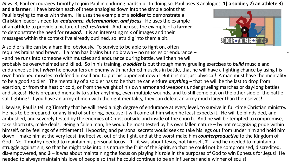*In* vs. 3, Paul encourages Timothy to join Paul in enduring hardship. In doing so, Paul uses 3 analogies. **1) a soldier, 2) an athlete 3)** 

**and a farmer**. I have broken each of these analogies down into the simple point that Paul is trying to make with them. He uses the example of a **soldier** to demonstrate a Christian leader's need for *endurance, determination, and focus*. He uses the example of an **athlete** to provide a picture of *self-restraint*. And he uses the example of a **farmer** to demonstrate the need for *reward*. It is an interesting mix of images and their messages within the context I've already outlined, so let's dig into them a bit.

A soldier's life can be a hard life, obviously. To survive to be able to fight on, often requires brains and brawn. If a man has brains but no brawn  $-$  no muscles or endurance  $-$ - and he runs into someone with muscles and endurance during battle, well then he will

probably be overwhelmed and killed. So in his training, *a soldier* is put through many grueling exercises to *build* muscle and endurance so that *when* he encounters an enemy with hardened muscles in battle, that he will have a fighting chance by using his own hardened muscles to defend himself and to put his opponent down! But it is not just physical! A man must have the mentality to be a good soldier! The mentality of a soldier has to be that he can endure *anything* – that he will be the last to drop from exertion, or from the heat or cold, or from the weight of his own armor and weapons under grueling marches or day-long battles and sieges! He is prepared mentally to suffer anything, even multiple wounds, and to still come out on the other side of the battle still fighting! If you have an army of men with the right mentality, they can defeat an army much larger than themselves!

Likewise, Paul is telling Timothy that he will need a high degree of endurance at every level, to survive in full-time Christian ministry. He has to be prepared for any kind of suffering, because it will come at him when he least expects it. He will be blindsided, and ambushed, and severely tested by the enemies of Christ outside and inside of the church. And he will be tempted to compromise, take shortcuts, make deals. Being a fallen man, he would be most tested by his own fallen nature – by not recognizing pride within himself, or by feelings of entitlement! Hypocrisy, and personal secrets would seek to take his legs out from under him and hold him down – make him at the very least, ineffective, out of the fight, and at the worst make him *counterproductive* to the Kingdom of God! No, Timothy needed to maintain his personal focus – **1** - it was about Jesus, not himself, **2** – and he needed to maintain a struggle against sin, so that he might take into his nature the fruit of the Spirit, so that he could not be compromised, discredited, dis-empowered, and **3** – it was about maintaining the focus on playing his role in the purposes of God to win Ephesus for Jesus! He needed to always maintain his love of people so that he could continue to be an influencer and a winner of souls! <sup>3</sup>

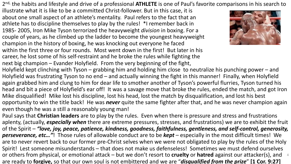2nd, the habits and lifestyle and drive of a professional **ATHLETE** is one of Paul's favorite comparisons in his search to

illustrate what it is like to be a committed Christ-follower. But in this case, it is about one small aspect of an athlete's mentality. Paul refers to the fact that an athlete has to discipline themselves to play by the rules! \*I remember back in 1985- 2005, Iron Mike Tyson terrorized the heavyweight *division* in boxing. For a couple of years, as he climbed up the ladder to become the youngest heavyweight champion in the history of boxing, he was knocking out everyone he faced within the first three or four rounds. Most went down in the first! But later in his career, he lost some of his self-restraint and he broke the rules while fighting the next big champion – Evander Holyfield. From the very beginning of the fight,



Holyfield kept clinching with Tyson – grabbing him and holding him close to neutralize his punching power – and Holyfield was frustrating Tyson to no end – and actually winning the fight in this manner! Finally, when Holyfield again grabbed him and clung to him for dear life to smother another of Tyson's powerful flurries, Tyson turned his head and bit a piece of Holyfield's ear off! It was a savage move that broke the rules, ended the match, and got Iron Mike disqualified! Mike lost his discipline, lost his head, lost the match by disqualification, and lost his best opportunity to win the title back! He was *never* quite the same fighter after that, and he was never champion again even though he was a still a reasonably young man!

Paul says that **Christian leaders** are to play by the rules. Even when there is pressure and stress and frustrations aplenty, (actually, *especially when* there are extreme pressures, stresses, and frustrations) we are to exhibit the fruit of the Spirit – *"love, joy, peace, patience, kindness, goodness, faithfulness, gentleness, and self-control, generosity, perseverance, etc…"*! Those rules of allowable conduct are to be *kept* – especially in the most difficult times! We are to never revert back to our former pre-Christ selves when we were not obligated to play by the rules of the Holy Spirit! Lest someone misunderstands – that does not make us defenseless! Sometimes we must defend ourselves or others from physical, or emotional attack – but we don't resort to **cruelty** or **hatred** against our attacker(s), and 4are ready to **forgive,** so that our own soul is not embittered and we are "*disqualified from the prize*" **[1 Cor. 9:27]**